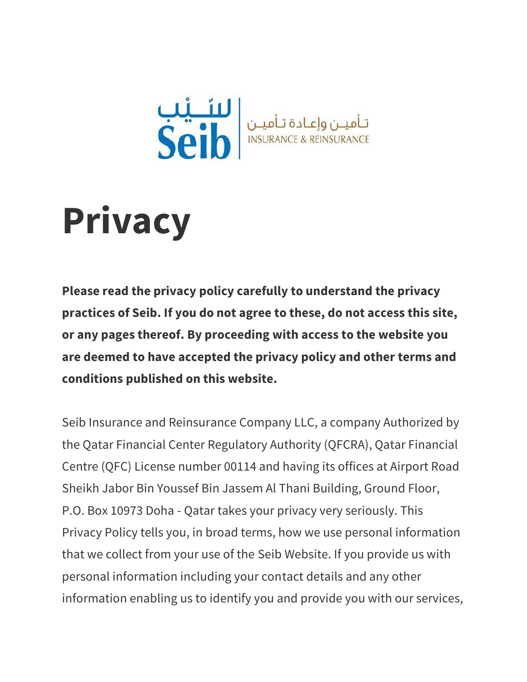

# **Privacy**

**Please read the privacy policy carefully to understand the privacy practices of Seib. If you do not agree to these, do not access this site, or any pages thereof. By proceeding with access to the website you are deemed to have accepted the privacy policy and other terms and conditions published on this website.**

Seib Insurance and Reinsurance Company LLC, a company Authorized by the Qatar Financial Center Regulatory Authority (QFCRA), Qatar Financial Centre (QFC) License number 00114 and having its offices at Airport Road Sheikh Jabor Bin Youssef Bin Jassem Al Thani Building, Ground Floor, P.O. Box 10973 Doha - Qatar takes your privacy very seriously. This Privacy Policy tells you, in broad terms, how we use personal information that we collect from your use of the Seib Website. If you provide us with personal information including your contact details and any other information enabling us to identify you and provide you with our services,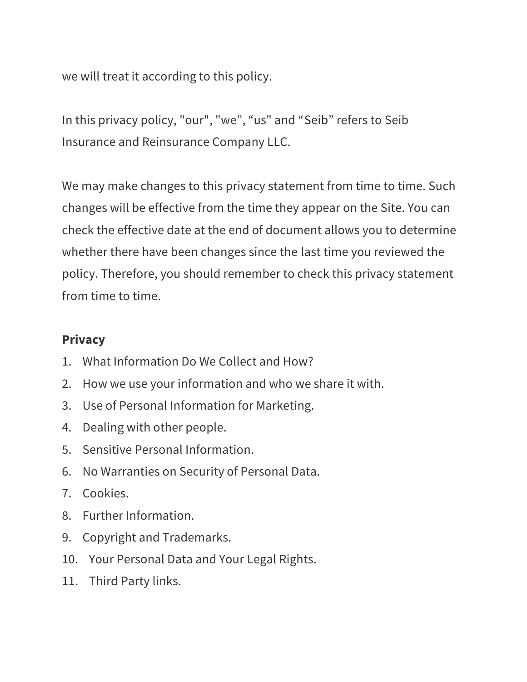we will treat it according to this policy.

In this privacy policy, "our", "we", "us" and "Seib" refers to Seib Insurance and Reinsurance Company LLC.

We may make changes to this privacy statement from time to time. Such changes will be effective from the time they appear on the Site. You can check the effective date at the end of document allows you to determine whether there have been changes since the last time you reviewed the policy. Therefore, you should remember to check this privacy statement from time to time.

### **Privacy**

- 1. What Information Do We Collect and How?
- 2. How we use your information and who we share it with.
- 3. Use of Personal Information for Marketing.
- 4. Dealing with other people.
- 5. Sensitive Personal Information.
- 6. No Warranties on Security of Personal Data.
- 7. Cookies.
- 8. Further Information.
- 9. Copyright and Trademarks.
- 10. Your Personal Data and Your Legal Rights.
- 11. Third Party links.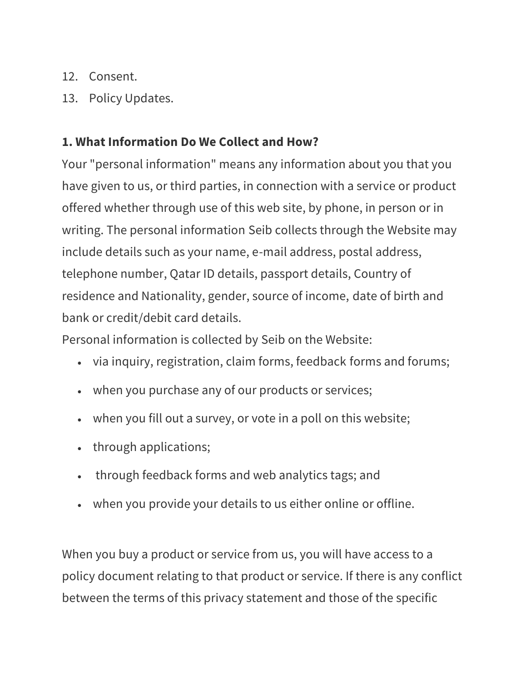- 12. Consent.
- 13. Policy Updates.

## **1. What Information Do We Collect and How?**

Your "personal information" means any information about you that you have given to us, or third parties, in connection with a service or product offered whether through use of this web site, by phone, in person or in writing. The personal information Seib collects through the Website may include details such as your name, e-mail address, postal address, telephone number, Qatar ID details, passport details, Country of residence and Nationality, gender, source of income, date of birth and bank or credit/debit card details.

Personal information is collected by Seib on the Website:

- via inquiry, registration, claim forms, feedback forms and forums;
- when you purchase any of our products or services;
- when you fill out a survey, or vote in a poll on this website;
- through applications;
- through feedback forms and web analytics tags; and
- when you provide your details to us either online or offline.

When you buy a product or service from us, you will have access to a policy document relating to that product or service. If there is any conflict between the terms of this privacy statement and those of the specific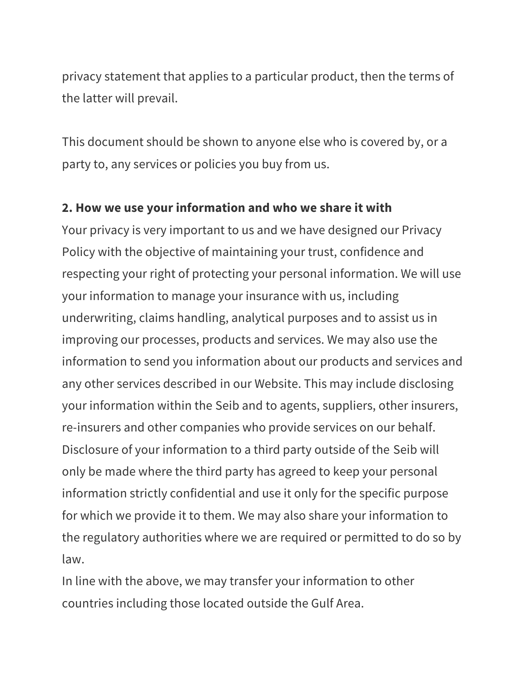privacy statement that applies to a particular product, then the terms of the latter will prevail.

This document should be shown to anyone else who is covered by, or a party to, any services or policies you buy from us.

#### **2. How we use your information and who we share it with**

Your privacy is very important to us and we have designed our Privacy Policy with the objective of maintaining your trust, confidence and respecting your right of protecting your personal information. We will use your information to manage your insurance with us, including underwriting, claims handling, analytical purposes and to assist us in improving our processes, products and services. We may also use the information to send you information about our products and services and any other services described in our Website. This may include disclosing your information within the Seib and to agents, suppliers, other insurers, re-insurers and other companies who provide services on our behalf. Disclosure of your information to a third party outside of the Seib will only be made where the third party has agreed to keep your personal information strictly confidential and use it only for the specific purpose for which we provide it to them. We may also share your information to the regulatory authorities where we are required or permitted to do so by law.

In line with the above, we may transfer your information to other countries including those located outside the Gulf Area.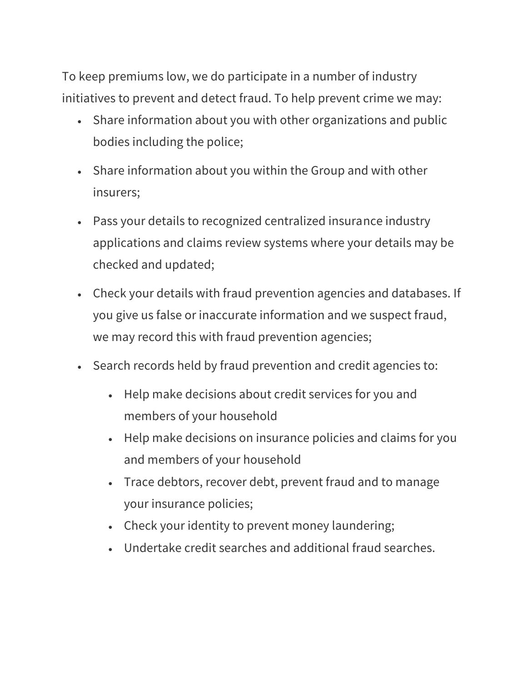To keep premiums low, we do participate in a number of industry initiatives to prevent and detect fraud. To help prevent crime we may:

- Share information about you with other organizations and public bodies including the police;
- Share information about you within the Group and with other insurers;
- Pass your details to recognized centralized insurance industry applications and claims review systems where your details may be checked and updated;
- Check your details with fraud prevention agencies and databases. If you give us false or inaccurate information and we suspect fraud, we may record this with fraud prevention agencies;
- Search records held by fraud prevention and credit agencies to:
	- Help make decisions about credit services for you and members of your household
	- Help make decisions on insurance policies and claims for you and members of your household
	- Trace debtors, recover debt, prevent fraud and to manage your insurance policies;
	- Check your identity to prevent money laundering;
	- Undertake credit searches and additional fraud searches.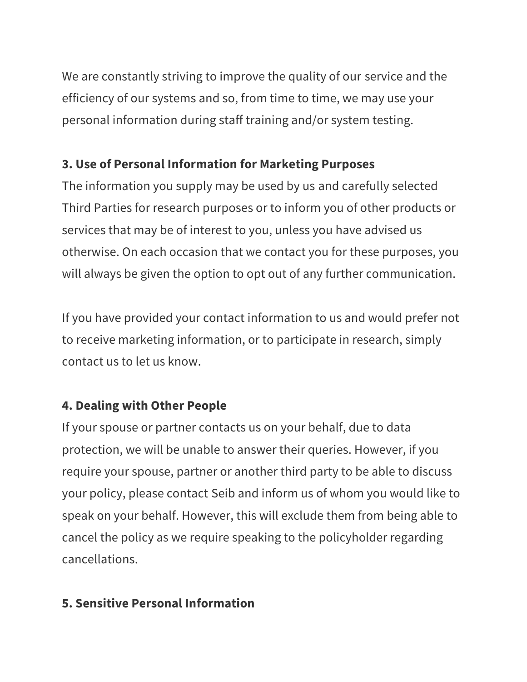We are constantly striving to improve the quality of our service and the efficiency of our systems and so, from time to time, we may use your personal information during staff training and/or system testing.

# **3. Use of Personal Information for Marketing Purposes**

The information you supply may be used by us and carefully selected Third Parties for research purposes or to inform you of other products or services that may be of interest to you, unless you have advised us otherwise. On each occasion that we contact you for these purposes, you will always be given the option to opt out of any further communication.

If you have provided your contact information to us and would prefer not to receive marketing information, or to participate in research, simply contact us to let us know.

# **4. Dealing with Other People**

If your spouse or partner contacts us on your behalf, due to data protection, we will be unable to answer their queries. However, if you require your spouse, partner or another third party to be able to discuss your policy, please contact Seib and inform us of whom you would like to speak on your behalf. However, this will exclude them from being able to cancel the policy as we require speaking to the policyholder regarding cancellations.

# **5. Sensitive Personal Information**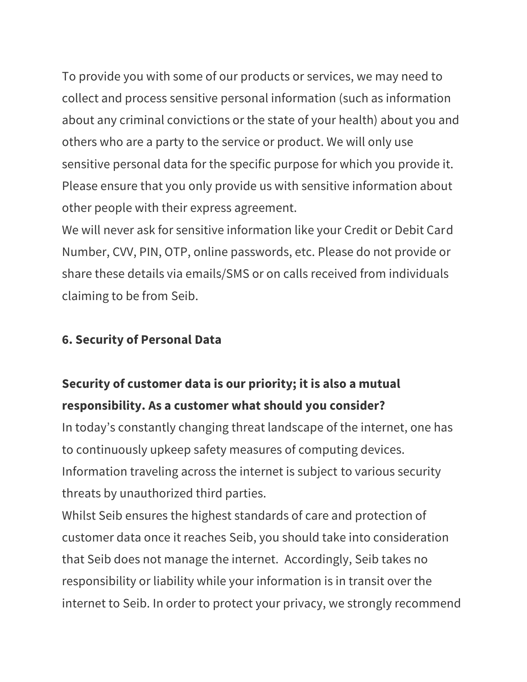To provide you with some of our products or services, we may need to collect and process sensitive personal information (such as information about any criminal convictions or the state of your health) about you and others who are a party to the service or product. We will only use sensitive personal data for the specific purpose for which you provide it. Please ensure that you only provide us with sensitive information about other people with their express agreement.

We will never ask for sensitive information like your Credit or Debit Card Number, CVV, PIN, OTP, online passwords, etc. Please do not provide or share these details via emails/SMS or on calls received from individuals claiming to be from Seib.

## **6. Security of Personal Data**

# **Security of customer data is our priority; it is also a mutual responsibility. As a customer what should you consider?**

In today's constantly changing threat landscape of the internet, one has to continuously upkeep safety measures of computing devices. Information traveling across the internet is subject to various security threats by unauthorized third parties.

Whilst Seib ensures the highest standards of care and protection of customer data once it reaches Seib, you should take into consideration that Seib does not manage the internet. Accordingly, Seib takes no responsibility or liability while your information is in transit over the internet to Seib. In order to protect your privacy, we strongly recommend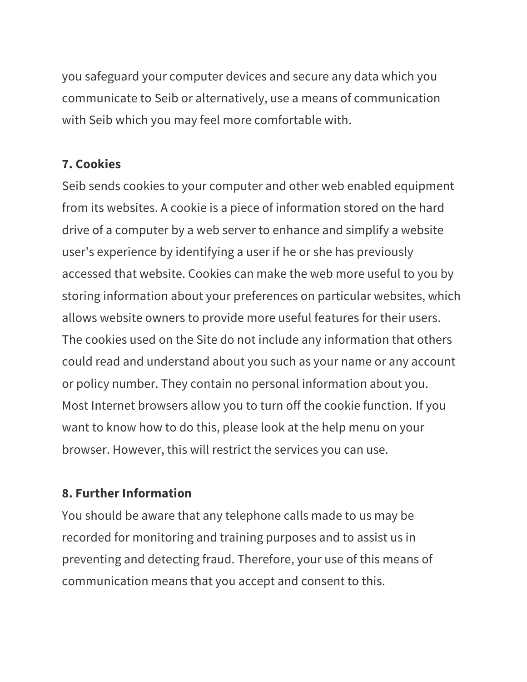you safeguard your computer devices and secure any data which you communicate to Seib or alternatively, use a means of communication with Seib which you may feel more comfortable with.

## **7. Cookies**

Seib sends cookies to your computer and other web enabled equipment from its websites. A cookie is a piece of information stored on the hard drive of a computer by a web server to enhance and simplify a website user's experience by identifying a user if he or she has previously accessed that website. Cookies can make the web more useful to you by storing information about your preferences on particular websites, which allows website owners to provide more useful features for their users. The cookies used on the Site do not include any information that others could read and understand about you such as your name or any account or policy number. They contain no personal information about you. Most Internet browsers allow you to turn off the cookie function. If you want to know how to do this, please look at the help menu on your browser. However, this will restrict the services you can use.

## **8. Further Information**

You should be aware that any telephone calls made to us may be recorded for monitoring and training purposes and to assist us in preventing and detecting fraud. Therefore, your use of this means of communication means that you accept and consent to this.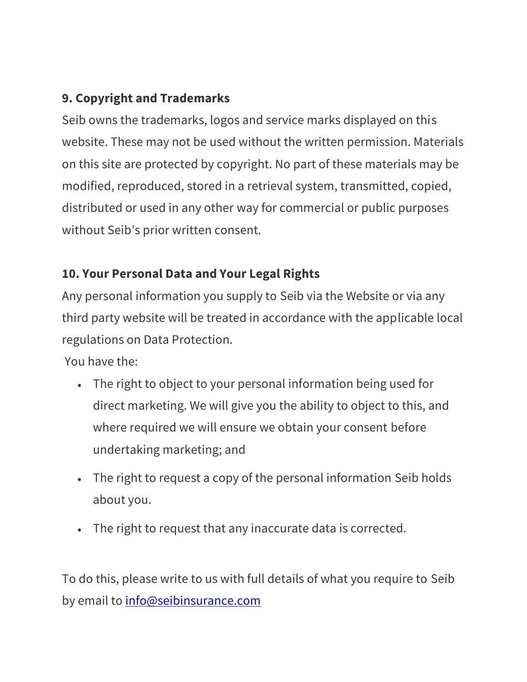# **9. Copyright and Trademarks**

Seib owns the trademarks, logos and service marks displayed on this website. These may not be used without the written permission. Materials on this site are protected by copyright. No part of these materials may be modified, reproduced, stored in a retrieval system, transmitted, copied, distributed or used in any other way for commercial or public purposes without Seib's prior written consent.

# **10. Your Personal Data and Your Legal Rights**

Any personal information you supply to Seib via the Website or via any third party website will be treated in accordance with the applicable local regulations on Data Protection.

You have the:

- The right to object to your personal information being used for direct marketing. We will give you the ability to object to this, and where required we will ensure we obtain your consent before undertaking marketing; and
- The right to request a copy of the personal information Seib holds about you.
- The right to request that any inaccurate data is corrected.

To do this, please write to us with full details of what you require to Seib by email to [info@seibinsurance.com](mailto:info@seibinsurance.com)